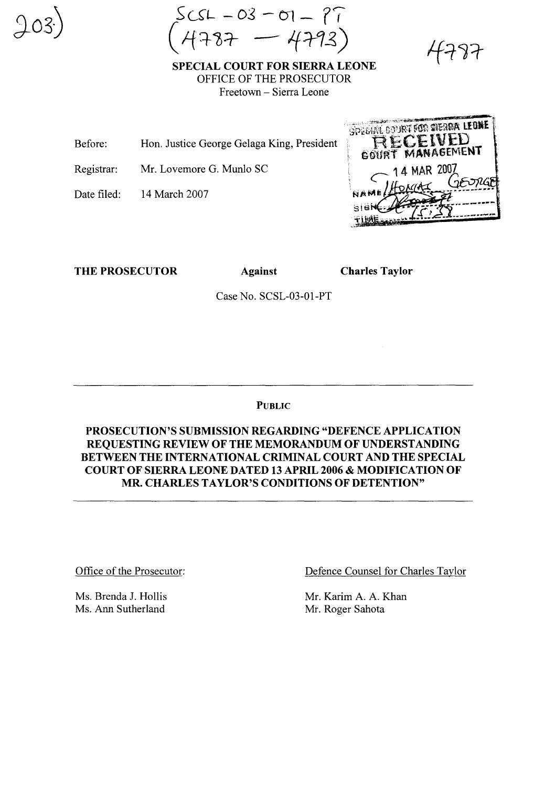$SSCSL - OS - CO = 97$ (1-f~1J=r- *-/f:r1z,)*

SPECIAL COURT FOR SIERRA LEONE OFFICE OF THE PROSECUTOR Freetown - Sierra Leone

Before: Hon. Justice George Gelaga King, President

Registrar: Mr. Lovemore G. Munlo SC

Date filed: 14 March 2007 SPECIAL COURT FOR SIERRA LEONE RECEIVED GOURT MANAGEMENT 14 MAR 2007

THE PROSECUTOR Against

Charles Taylor

Case No. SCSL-03-01-PT

PUBLIC

PROSECUTION'S SUBMISSION REGARDING "DEFENCE APPLICATION REQUESTING REVIEW OF THE MEMORANDUM OF UNDERSTANDING BETWEEN THE INTERNATIONAL CRIMINAL COURT AND THE SPECIAL COURT OF SIERRA LEONE DATED 13 APRIL 2006 & MODIFICATION OF MR. CHARLES TAYLOR'S CONDITIONS OF DETENTION"

Office of the Prosecutor:

Ms. Brenda J. Hollis Ms. Ann Sutherland

Defence Counsel for Charles Taylor

Mr. Karim A. A. Khan Mr. Roger Sahota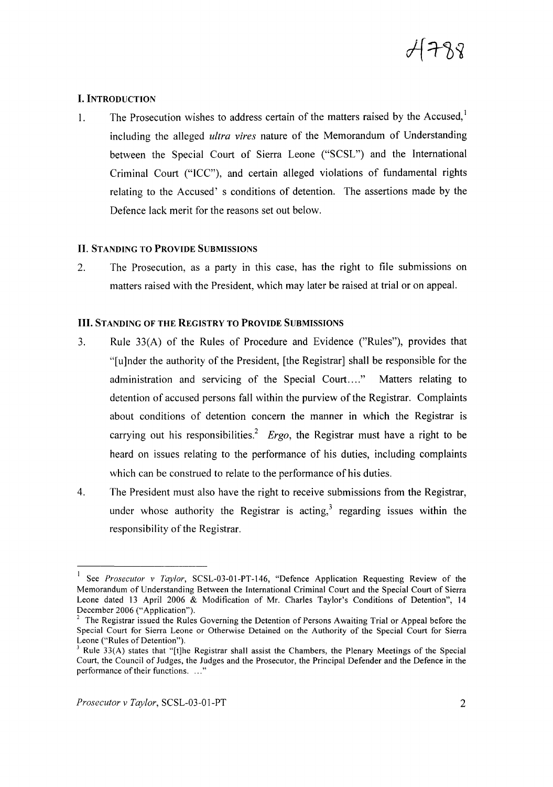

### I. INTRODUCTION

1. The Prosecution wishes to address certain of the matters raised by the Accused, $<sup>1</sup>$ </sup> including the alleged *ultra vires* nature of the Memorandum of Understanding between the Special Court of Sierra Leone ("SCSL") and the International Criminal Court ("ICC"), and certain alleged violations of fundamental rights relating to the Accused' s conditions of detention. The assertions made by the Defence lack merit for the reasons set out below.

#### II. STANDING TO PROVIDE SUBMISSIONS

2. The Prosecution, as a party in this case, has the right to file submissions on matters raised with the President, which may later be raised at trial or on appeal.

#### III. STANDING OF THE REGISTRY TO PROVIDE SUBMISSIONS

- 3. Rule 33(A) of the Rules of Procedure and Evidence ("Rules"), provides that "[u]nder the authority of the President, [the Registrar] shall be responsible for the administration and servicing of the Special Court...." Matters relating to detention of accused persons fall within the purview of the Registrar. Complaints about conditions of detention concern the manner in which the Registrar is carrying out his responsibilities? *Ergo,* the Registrar must have a right to be heard on issues relating to the performance of his duties, including complaints which can be construed to relate to the performance of his duties.
- 4. The President must also have the right to receive submissions from the Registrar, under whose authority the Registrar is acting,<sup>3</sup> regarding issues within the responsibility of the Registrar.

<sup>&</sup>lt;sup>1</sup> See *Prosecutor v Taylor*, SCSL-03-01-PT-146, "Defence Application Requesting Review of the Memorandum of Understanding Between the International Criminal Court and the Special Court of Sierra Leone dated 13 April 2006 & Modification of Mr. Charles Taylor's Conditions of Detention", 14 December 2006 ("Application").

<sup>2</sup> The Registrar issued the Rules Governing the Detention of Persons Awaiting Trial or Appeal before the Special Court for Sierra Leone or Otherwise Detained on the Authority of the Special Court for Sierra Leone ("Rules of Detention").

<sup>3</sup> Rule 33(A) states that "[t]he Registrar shall assist the Chambers, the Plenary Meetings of the Special Court, the Council of Judges, the Judges and the Prosecutor, the Principal Defender and the Defence in the performance of their functions. ..."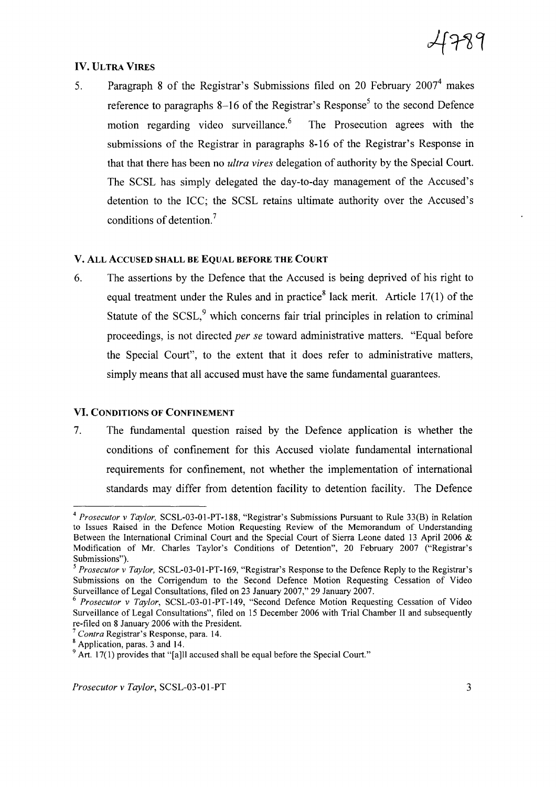# IV. ULTRA VIRES

5. Paragraph 8 of the Registrar's Submissions filed on 20 February  $2007<sup>4</sup>$  makes reference to paragraphs 8-16 of the Registrar's Response<sup>5</sup> to the second Defence motion regarding video surveillance.<sup>6</sup> The Prosecution agrees with the submissions of the Registrar in paragraphs 8-16 of the Registrar's Response in that that there has been no *ultra vires* delegation of authority by the Special Court. The SCSL has simply delegated the day-to-day management of the Accused's detention to the ICC; the SCSL retains ultimate authority over the Accused's conditions of detention.<sup>7</sup>

### V. ALL ACCUSED SHALL BE EQUAL BEFORE THE COURT

6. The assertions by the Defence that the Accused is being deprived of his right to equal treatment under the Rules and in practice<sup>8</sup> lack merit. Article 17(1) of the Statute of the  $SCSL<sub>2</sub><sup>9</sup>$  which concerns fair trial principles in relation to criminal proceedings, is not directed *per se* toward administrative matters. "Equal before the Special Court", to the extent that it does refer to administrative matters, simply means that all accused must have the same fundamental guarantees.

### VI. CONDITIONS OF CONFINEMENT

7. The fundamental question raised by the Defence application is whether the conditions of confinement for this Accused violate fundamental international requirements for confinement, not whether the implementation of international standards may differ from detention facility to detention facility. The Defence

*<sup>7</sup> Contra* Registrar's Response, para. 14.

*<sup>4</sup> Prosecutor* v *Taylor,* SCSL-03-01-PT-188, "Registrar's Submissions Pursuant to Rule 33(B) in Relation to Issues Raised in the Defence Motion Requesting Review of the Memorandum of Understanding Between the International Criminal Court and the Special Court of Sierra Leone dated 13 April 2006 & Modification of Mr. Charles Taylor's Conditions of Detention", 20 February 2007 ("Registrar's Submissions").

*<sup>5</sup> Prosecutor* v *Taylor,* SCSL-03-01-PT-169, "Registrar's Response to the Defence Reply to the Registrar's Submissions on the Corrigendum to the Second Defence Motion Requesting Cessation of Video Surveillance of Legal Consultations, filed on 23 January 2007," 29 January 2007.

*<sup>6</sup> Prosecutor* v *Taylor,* SCSL-03-01-PT-149, "Second Defence Motion Requesting Cessation of Video Surveillance of Legal Consultations", filed on 15 December 2006 with Trial Chamber II and subsequently re-filed on 8 January 2006 with the President.

<sup>&</sup>lt;sup>8</sup> Application, paras. 3 and 14.

<sup>&</sup>lt;sup>9</sup> Art. 17(1) provides that "[a]ll accused shall be equal before the Special Court."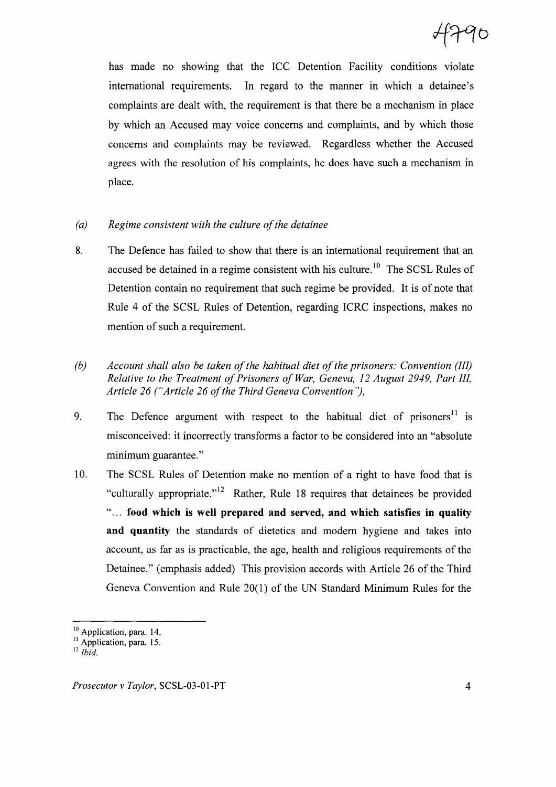has made no showing that the ICC Detention Facility conditions violate international requirements. In regard to the manner in which a detainee's complaints are dealt with, the requirement is that there be a mechanism in place by which an Accused may voice concerns and complaints, and by which those concerns and complaints may be reviewed. Regardless whether the Accused agrees with the resolution of his complaints, he does have such a mechanism in place.

- *(a) Regime consistent with the culture ofthe detainee*
- 8. The Defence has failed to show that there is an international requirement that an accused be detained in a regime consistent with his culture.<sup>10</sup> The SCSL Rules of Detention contain no requirement that such regime be provided. It is of note that Rule 4 of the SCSL Rules of Detention, regarding ICRC inspections, makes no mention of such a requirement.
- *(b) Account shall also be taken ofthe habitual diet ofthe prisoners: Convention (III) Relative to the Treatment of Prisoners of War, Geneva, 12 August 2949, Part III, Article* 26 *("Article* 26 *ofthe Third Geneva Convention* ''),
- 9. The Defence argument with respect to the habitual diet of prisoners<sup>11</sup> is misconceived: it incorrectly transforms a factor to be considered into an "absolute minimum guarantee."
- 1O. The SCSL Rules of Detention make no mention of a right to have food that is "culturally appropriate."<sup>12</sup> Rather, Rule 18 requires that detainees be provided " ... **food which is well prepared and** served, **and which** satisfies **in quality and quantity** the standards of dietetics and modem hygiene and takes into account, as far as is practicable, the age, health and religious requirements of the Detainee." (emphasis added) This provision accords with Article 26 of the Third Geneva Convention and Rule 20(1) of the UN Standard Minimum Rules for the

<sup>&</sup>lt;sup>10</sup> Application, para. 14.

<sup>&</sup>lt;sup>11</sup> Application, para. 15.

<sup>12</sup> *Ibid.*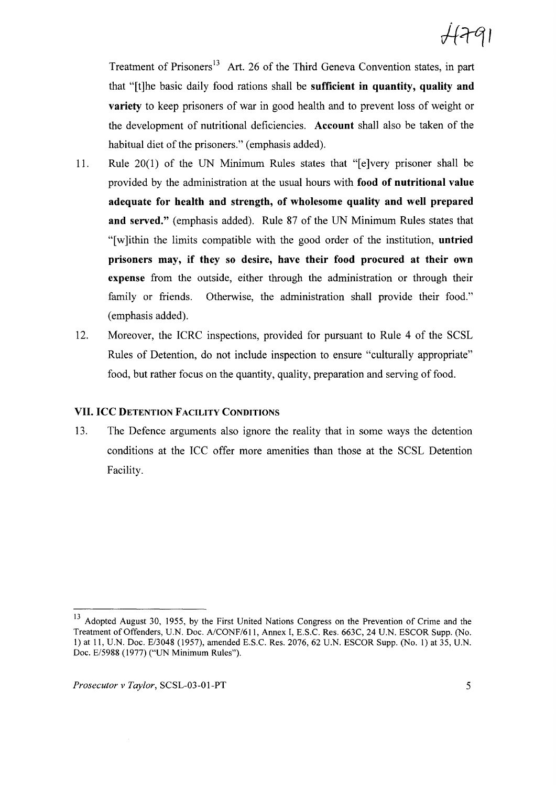Treatment of Prisoners<sup>13</sup> Art. 26 of the Third Geneva Convention states, in part that "[t]he basic daily food rations shall be sufficient in quantity, quality and variety to keep prisoners of war in good health and to prevent loss of weight or the development of nutritional deficiencies. Account shall also be taken of the habitual diet of the prisoners." (emphasis added).

- 11. Rule 20(1) of the UN Minimum Rules states that "[e]very prisoner shall be provided by the administration at the usual hours with food of nutritional value adequate for health and strength, of wholesome quality and well prepared and served." (emphasis added). Rule 87 of the UN Minimum Rules states that "[w]ithin the limits compatible with the good order of the institution, untried prisoners may, if they so desire, have their food procured at their own expense from the outside, either through the administration or through their family or friends. Otherwise, the administration shall provide their food." (emphasis added).
- 12. Moreover, the ICRC inspections, provided for pursuant to Rule 4 of the SCSL Rules of Detention, do not include inspection to ensure "culturally appropriate" food, but rather focus on the quantity, quality, preparation and serving of food.

## VII. ICC DETENTION FACILITY CONDITIONS

13. The Defence arguments also ignore the reality that in some ways the detention conditions at the ICC offer more amenities than those at the SCSL Detention Facility.

<sup>&</sup>lt;sup>13</sup> Adopted August 30, 1955, by the First United Nations Congress on the Prevention of Crime and the Treatment of Offenders, U.N. Doc. A/CONF/6II, Annex 1, E.S.C. Res. 663C, 24 U.N. ESCOR Supp. (No. 1) at 11, U.N. Doc. E/3048 (1957), amended E.S.C. Res. 2076, 62 U.N. ESCOR Supp. (No.1) at 35, U.N. Doc. E/5988 (1977) ("UN Minimum Rules").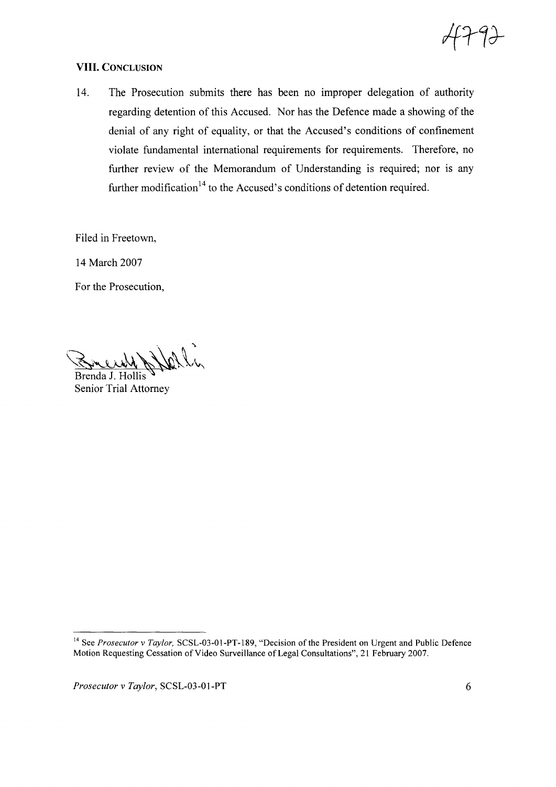

## **VIII.** CONCLUSION

14. The Prosecution submits there has been no improper delegation of authority regarding detention of this Accused. Nor has the Defence made a showing of the denial of any right of equality, or that the Accused's conditions of confinement violate fundamental international requirements for requirements. Therefore, no further review of the Memorandum of Understanding is required; nor is any further modification<sup>14</sup> to the Accused's conditions of detention required.

Filed in Freetown,

14 March 2007

For the Prosecution,

 $\sqrt{\sum_{i} \nu_{i}}$  which on  $\sqrt{\sum_{i} \sum_{i} \nu_{i}}$ 

Brenda 1. Hollis Senior Trial Attorney

*Prosecutor v Taylor*, SCSL-03-01-PT 6

<sup>&</sup>lt;sup>14</sup> See *Prosecutor* v *Taylor*, SCSL-03-01-PT-189, "Decision of the President on Urgent and Public Defence Motion Requesting Cessation of Video Surveillance of Legal Consultations", 21 February 2007.